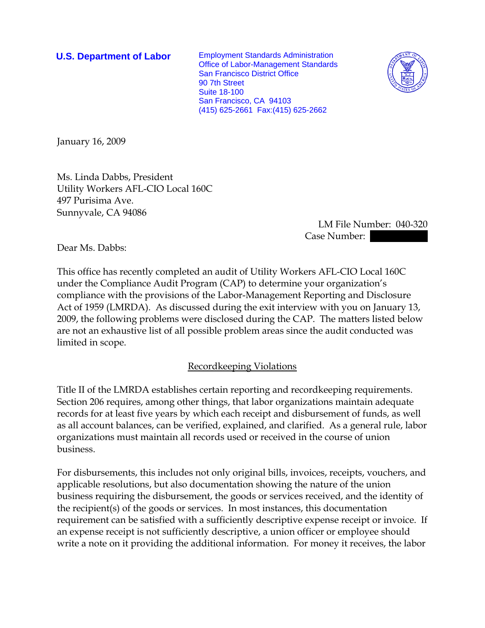**U.S. Department of Labor** Employment Standards Administration Office of Labor-Management Standards San Francisco District Office 90 7th Street Suite 18-100 San Francisco, CA 94103 (415) 625-2661 Fax:(415) 625-2662



January 16, 2009

Ms. Linda Dabbs, President Utility Workers AFL-CIO Local 160C 497 Purisima Ave. Sunnyvale, CA 94086

> LM File Number: 040-320 Case Number:

Dear Ms. Dabbs:

This office has recently completed an audit of Utility Workers AFL-CIO Local 160C under the Compliance Audit Program (CAP) to determine your organization's compliance with the provisions of the Labor-Management Reporting and Disclosure Act of 1959 (LMRDA). As discussed during the exit interview with you on January 13, 2009, the following problems were disclosed during the CAP. The matters listed below are not an exhaustive list of all possible problem areas since the audit conducted was limited in scope.

## Recordkeeping Violations

Title II of the LMRDA establishes certain reporting and recordkeeping requirements. Section 206 requires, among other things, that labor organizations maintain adequate records for at least five years by which each receipt and disbursement of funds, as well as all account balances, can be verified, explained, and clarified. As a general rule, labor organizations must maintain all records used or received in the course of union business.

For disbursements, this includes not only original bills, invoices, receipts, vouchers, and applicable resolutions, but also documentation showing the nature of the union business requiring the disbursement, the goods or services received, and the identity of the recipient(s) of the goods or services. In most instances, this documentation requirement can be satisfied with a sufficiently descriptive expense receipt or invoice. If an expense receipt is not sufficiently descriptive, a union officer or employee should write a note on it providing the additional information. For money it receives, the labor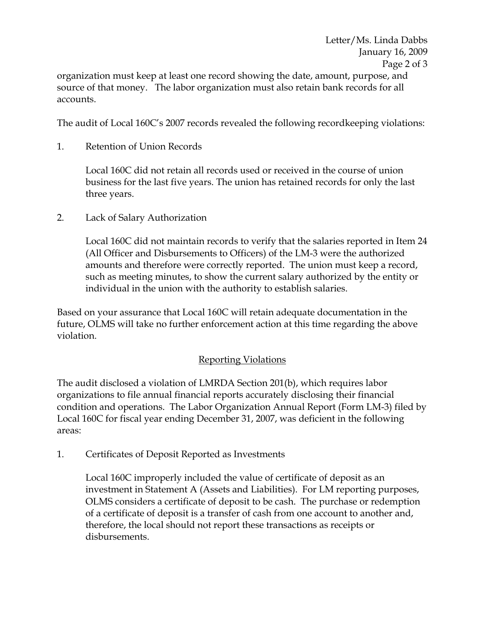organization must keep at least one record showing the date, amount, purpose, and source of that money. The labor organization must also retain bank records for all accounts.

The audit of Local 160C's 2007 records revealed the following recordkeeping violations:

1. Retention of Union Records

Local 160C did not retain all records used or received in the course of union business for the last five years. The union has retained records for only the last three years.

2. Lack of Salary Authorization

Local 160C did not maintain records to verify that the salaries reported in Item 24 (All Officer and Disbursements to Officers) of the LM-3 were the authorized amounts and therefore were correctly reported. The union must keep a record, such as meeting minutes, to show the current salary authorized by the entity or individual in the union with the authority to establish salaries.

Based on your assurance that Local 160C will retain adequate documentation in the future, OLMS will take no further enforcement action at this time regarding the above violation.

## Reporting Violations

The audit disclosed a violation of LMRDA Section 201(b), which requires labor organizations to file annual financial reports accurately disclosing their financial condition and operations. The Labor Organization Annual Report (Form LM-3) filed by Local 160C for fiscal year ending December 31, 2007, was deficient in the following areas:

1. Certificates of Deposit Reported as Investments

Local 160C improperly included the value of certificate of deposit as an investment in Statement A (Assets and Liabilities). For LM reporting purposes, OLMS considers a certificate of deposit to be cash. The purchase or redemption of a certificate of deposit is a transfer of cash from one account to another and, therefore, the local should not report these transactions as receipts or disbursements.